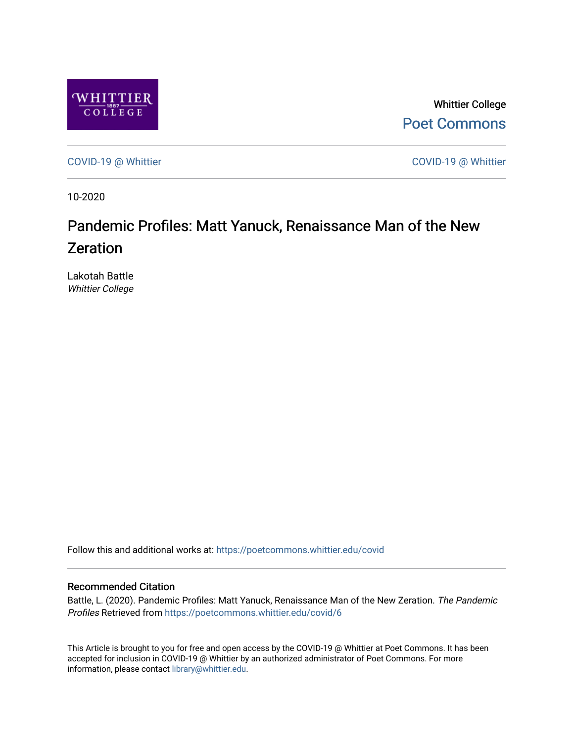

Whittier College [Poet Commons](https://poetcommons.whittier.edu/) 

[COVID-19 @ Whittier](https://poetcommons.whittier.edu/covid) [COVID-19 @ Whittier](https://poetcommons.whittier.edu/covid_whittier) 

10-2020

### Pandemic Profiles: Matt Yanuck, Renaissance Man of the New Zeration

Lakotah Battle Whittier College

Follow this and additional works at: [https://poetcommons.whittier.edu/covid](https://poetcommons.whittier.edu/covid?utm_source=poetcommons.whittier.edu%2Fcovid%2F6&utm_medium=PDF&utm_campaign=PDFCoverPages)

#### Recommended Citation

Battle, L. (2020). Pandemic Profiles: Matt Yanuck, Renaissance Man of the New Zeration. The Pandemic Profiles Retrieved from [https://poetcommons.whittier.edu/covid/6](https://poetcommons.whittier.edu/covid/6?utm_source=poetcommons.whittier.edu%2Fcovid%2F6&utm_medium=PDF&utm_campaign=PDFCoverPages) 

This Article is brought to you for free and open access by the COVID-19 @ Whittier at Poet Commons. It has been accepted for inclusion in COVID-19 @ Whittier by an authorized administrator of Poet Commons. For more information, please contact [library@whittier.edu.](mailto:library@whittier.edu)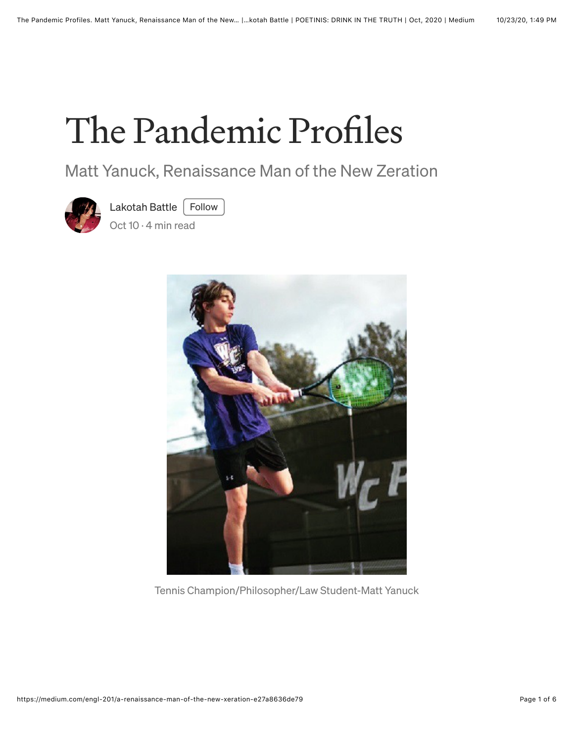# The Pandemic Profiles

Matt Yanuck, Renaissance Man of the New Zeration



[Lakotah Battle](https://lbattle.medium.com/?source=post_page-----e27a8636de79--------------------------------)  $\vert$  Follow

[Oct 10](https://medium.com/engl-201/a-renaissance-man-of-the-new-xeration-e27a8636de79?source=post_page-----e27a8636de79--------------------------------) · 4 min read



Tennis Champion/Philosopher/Law Student-Matt Yanuck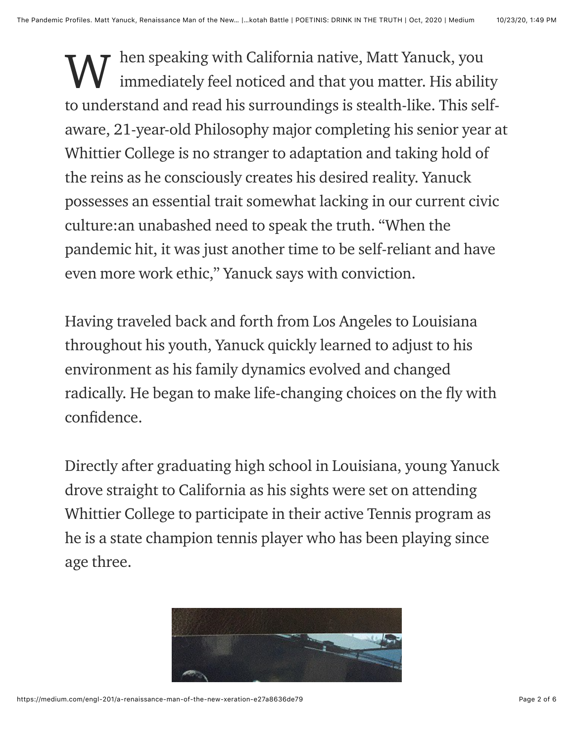hen speaking with California native, Matt Yanuck, you immediately feel noticed and that you matter. His ability to understand and read his surroundings is stealth-like. This selfaware, 21-year-old Philosophy major completing his senior year at Whittier College is no stranger to adaptation and taking hold of the reins as he consciously creates his desired reality. Yanuck possesses an essential trait somewhat lacking in our current civic culture:an unabashed need to speak the truth. "When the pandemic hit, it was just another time to be self-reliant and have even more work ethic," Yanuck says with conviction. W

Having traveled back and forth from Los Angeles to Louisiana throughout his youth, Yanuck quickly learned to adjust to his environment as his family dynamics evolved and changed radically. He began to make life-changing choices on the fly with confidence.

Directly after graduating high school in Louisiana, young Yanuck drove straight to California as his sights were set on attending Whittier College to participate in their active Tennis program as he is a state champion tennis player who has been playing since age three.

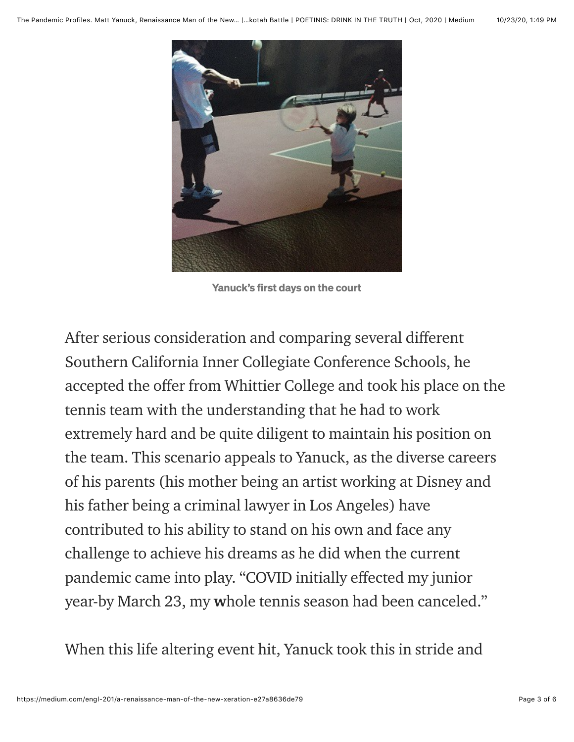

Yanuck's first days on the court

After serious consideration and comparing several different Southern California Inner Collegiate Conference Schools, he accepted the offer from Whittier College and took his place on the tennis team with the understanding that he had to work extremely hard and be quite diligent to maintain his position on the team. This scenario appeals to Yanuck, as the diverse careers of his parents (his mother being an artist working at Disney and his father being a criminal lawyer in Los Angeles) have contributed to his ability to stand on his own and face any challenge to achieve his dreams as he did when the current pandemic came into play. "COVID initially effected my junior year-by March 23, my whole tennis season had been canceled."

When this life altering event hit, Yanuck took this in stride and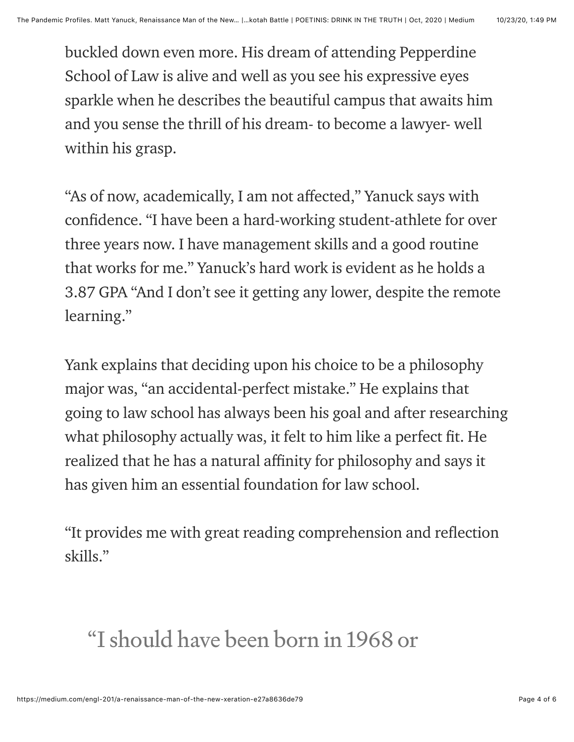buckled down even more. His dream of attending Pepperdine School of Law is alive and well as you see his expressive eyes sparkle when he describes the beautiful campus that awaits him and you sense the thrill of his dream- to become a lawyer- well within his grasp.

"As of now, academically, I am not affected," Yanuck says with confidence. "I have been a hard-working student-athlete for over three years now. I have management skills and a good routine that works for me." Yanuck's hard work is evident as he holds a 3.87 GPA "And I don't see it getting any lower, despite the remote learning."

Yank explains that deciding upon his choice to be a philosophy major was, "an accidental-perfect mistake." He explains that going to law school has always been his goal and after researching what philosophy actually was, it felt to him like a perfect fit. He realized that he has a natural affinity for philosophy and says it has given him an essential foundation for law school.

"It provides me with great reading comprehension and reflection skills."

## "I should have been born in 1968 or